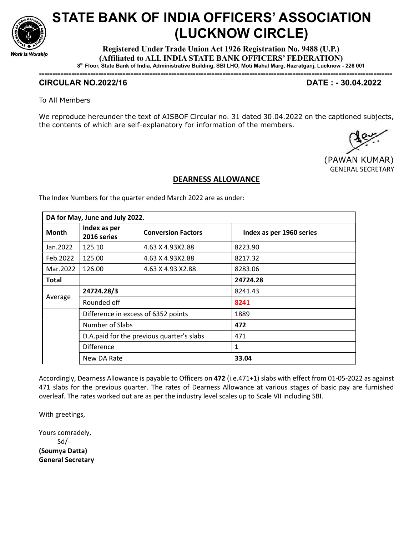

## STATE BANK OF INDIA OFFICERS' ASSOCIATION (LUCKNOW CIRCLE)

Registered Under Trade Union Act 1926 Registration No. 9488 (U.P.) (Affiliated to ALL INDIA STATE BANK OFFICERS' FEDERATION) 8 th Floor, State Bank of India, Administrative Building, SBI LHO, Moti Mahal Marg, Hazratganj, Lucknow - 226 001

-----------------------------------------------------------------------------------------------------------------------------------

## CIRCULAR NO.2022/16 DATE : - 30.04.2022

To All Members

We reproduce hereunder the text of AISBOF Circular no. 31 dated 30.04.2022 on the captioned subjects, the contents of which are self-explanatory for information of the members.

 (PAWAN KUMAR) GENERAL SECRETARY

## DEARNESS ALLOWANCE

The Index Numbers for the quarter ended March 2022 are as under:

| DA for May, June and July 2022. |                                     |                                           |                          |  |  |  |  |
|---------------------------------|-------------------------------------|-------------------------------------------|--------------------------|--|--|--|--|
| <b>Month</b>                    | Index as per<br>2016 series         | <b>Conversion Factors</b>                 | Index as per 1960 series |  |  |  |  |
| Jan. 2022                       | 125.10                              | 4.63 X 4.93X2.88                          | 8223.90                  |  |  |  |  |
| Feb.2022                        | 125.00                              | 4.63 X 4.93X2.88                          | 8217.32                  |  |  |  |  |
| Mar. 2022                       | 126.00                              | 4.63 X 4.93 X 2.88                        | 8283.06                  |  |  |  |  |
| <b>Total</b>                    |                                     |                                           | 24724.28                 |  |  |  |  |
| Average                         | 24724.28/3                          |                                           | 8241.43                  |  |  |  |  |
|                                 | Rounded off                         |                                           | 8241                     |  |  |  |  |
|                                 | Difference in excess of 6352 points |                                           | 1889                     |  |  |  |  |
|                                 | Number of Slabs                     |                                           | 472                      |  |  |  |  |
|                                 |                                     | D.A.paid for the previous quarter's slabs | 471                      |  |  |  |  |
|                                 | <b>Difference</b>                   |                                           | 1                        |  |  |  |  |
|                                 | New DA Rate                         |                                           | 33.04                    |  |  |  |  |

Accordingly, Dearness Allowance is payable to Officers on 472 (i.e.471+1) slabs with effect from 01-05-2022 as against 471 slabs for the previous quarter. The rates of Dearness Allowance at various stages of basic pay are furnished overleaf. The rates worked out are as per the industry level scales up to Scale VII including SBI.

With greetings,

Yours comradely, Sd/- (Soumya Datta) General Secretary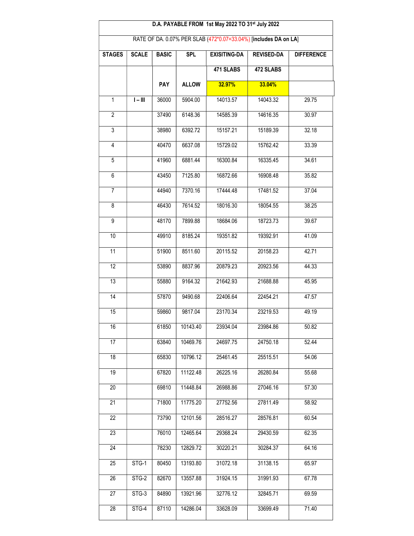| D.A. PAYABLE FROM 1st May 2022 TO 31st July 2022                 |              |              |              |                     |                   |                   |  |  |
|------------------------------------------------------------------|--------------|--------------|--------------|---------------------|-------------------|-------------------|--|--|
| RATE OF DA. 0.07% PER SLAB (472*0.07=33.04%) [includes DA on LA] |              |              |              |                     |                   |                   |  |  |
| <b>STAGES</b>                                                    | <b>SCALE</b> | <b>BASIC</b> | <b>SPL</b>   | <b>EXISITING-DA</b> | <b>REVISED-DA</b> | <b>DIFFERENCE</b> |  |  |
|                                                                  |              |              |              | 471 SLABS           | 472 SLABS         |                   |  |  |
|                                                                  |              | <b>PAY</b>   | <b>ALLOW</b> | 32.97%              | 33.04%            |                   |  |  |
| $\mathbf{1}$                                                     | $I - III$    | 36000        | 5904.00      | 14013.57            | 14043.32          | 29.75             |  |  |
| $\overline{2}$                                                   |              | 37490        | 6148.36      | 14585.39            | 14616.35          | 30.97             |  |  |
| $\overline{3}$                                                   |              | 38980        | 6392.72      | 15157.21            | 15189.39          | 32.18             |  |  |
| $\overline{4}$                                                   |              | 40470        | 6637.08      | 15729.02            | 15762.42          | 33.39             |  |  |
| 5                                                                |              | 41960        | 6881.44      | 16300.84            | 16335.45          | 34.61             |  |  |
| 6                                                                |              | 43450        | 7125.80      | 16872.66            | 16908.48          | 35.82             |  |  |
| $\overline{7}$                                                   |              | 44940        | 7370.16      | 17444.48            | 17481.52          | 37.04             |  |  |
| $\overline{8}$                                                   |              | 46430        | 7614.52      | 18016.30            | 18054.55          | 38.25             |  |  |
| $\overline{9}$                                                   |              | 48170        | 7899.88      | 18684.06            | 18723.73          | 39.67             |  |  |
| 10                                                               |              | 49910        | 8185.24      | 19351.82            | 19392.91          | 41.09             |  |  |
| $\overline{11}$                                                  |              | 51900        | 8511.60      | 20115.52            | 20158.23          | 42.71             |  |  |
| $\overline{12}$                                                  |              | 53890        | 8837.96      | 20879.23            | 20923.56          | 44.33             |  |  |
| 13                                                               |              | 55880        | 9164.32      | 21642.93            | 21688.88          | 45.95             |  |  |
| $\overline{14}$                                                  |              | 57870        | 9490.68      | 22406.64            | 22454.21          | 47.57             |  |  |
| 15                                                               |              | 59860        | 9817.04      | 23170.34            | 23219.53          | 49.19             |  |  |
| 16                                                               |              | 61850        | 10143.40     | 23934.04            | 23984.86          | 50.82             |  |  |
| 17                                                               |              | 63840        | 10469.76     | 24697.75            | 24750.18          | 52.44             |  |  |
| 18                                                               |              | 65830        | 10796.12     | 25461.45            | 25515.51          | 54.06             |  |  |
| 19                                                               |              | 67820        | 11122.48     | 26225.16            | 26280.84          | 55.68             |  |  |
| 20                                                               |              | 69810        | 11448.84     | 26988.86            | 27046.16          | 57.30             |  |  |
| 21                                                               |              | 71800        | 11775.20     | 27752.56            | 27811.49          | 58.92             |  |  |
| $\overline{22}$                                                  |              | 73790        | 12101.56     | 28516.27            | 28576.81          | 60.54             |  |  |
| 23                                                               |              | 76010        | 12465.64     | 29368.24            | 29430.59          | 62.35             |  |  |
| 24                                                               |              | 78230        | 12829.72     | 30220.21            | 30284.37          | 64.16             |  |  |
| 25                                                               | STG-1        | 80450        | 13193.80     | 31072.18            | 31138.15          | 65.97             |  |  |
| 26                                                               | STG-2        | 82670        | 13557.88     | 31924.15            | 31991.93          | 67.78             |  |  |
| 27                                                               | $STG-3$      | 84890        | 13921.96     | 32776.12            | 32845.71          | 69.59             |  |  |
| 28                                                               | STG-4        | 87110        | 14286.04     | 33628.09            | 33699.49          | 71.40             |  |  |